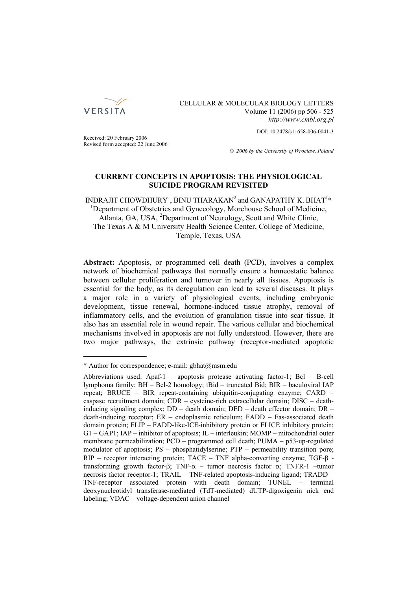

CELLULAR & MOLECULAR BIOLOGY LETTERS Volume 11 (2006) pp 506 - 525 *http://www.cmbl.org.pl*

DOI: 10.2478/s11658-006-0041-3

Received: 20 February 2006 Revised form accepted: 22 June 2006

*© 2006 by the University of Wrocław, Poland*

## **CURRENT CONCEPTS IN APOPTOSIS: THE PHYSIOLOGICAL SUICIDE PROGRAM REVISITED**

INDRAJIT CHOWDHURY<sup>1</sup>, BINU THARAKAN $^2$  and GANAPATHY K. BHAT $^{1\ast}$ <sup>1</sup>Department of Obstetrics and Gynecology, Morehouse School of Medicine, Atlanta, GA, USA, <sup>2</sup>Department of Neurology, Scott and White Clinic, The Texas A & M University Health Science Center, College of Medicine, Temple, Texas, USA

**Abstract:** Apoptosis, or programmed cell death (PCD), involves a complex network of biochemical pathways that normally ensure a homeostatic balance between cellular proliferation and turnover in nearly all tissues. Apoptosis is essential for the body, as its deregulation can lead to several diseases. It plays a major role in a variety of physiological events, including embryonic development, tissue renewal, hormone-induced tissue atrophy, removal of inflammatory cells, and the evolution of granulation tissue into scar tissue. It also has an essential role in wound repair. The various cellular and biochemical mechanisms involved in apoptosis are not fully understood. However, there are two major pathways, the extrinsic pathway (receptor-mediated apoptotic

<sup>\*</sup> Author for correspondence; e-mail: gbhat@msm.edu

Abbreviations used: Apaf-1 – apoptosis protease activating factor-1; Bcl – B-cell lymphoma family; BH – Bcl-2 homology; tBid – truncated Bid; BIR – baculoviral IAP repeat; BRUCE – BIR repeat-containing ubiquitin-conjugating enzyme; CARD – caspase recruitment domain; CDR – cysteine-rich extracellular domain; DISC – deathinducing signaling complex; DD – death domain; DED – death effector domain; DR – death-inducing receptor; ER – endoplasmic reticulum; FADD – Fas-associated death domain protein; FLIP – FADD-like-ICE-inhibitory protein or FLICE inhibitory protein; G1 – GAP1; IAP – inhibitor of apoptosis; IL – interleukin; MOMP – mitochondrial outer membrane permeabilization; PCD – programmed cell death; PUMA – p53-up-regulated modulator of apoptosis; PS – phosphatidylserine; PTP – permeability transition pore; RIP – receptor interacting protein; TACE – TNF alpha-converting enzyme; TGF-β transforming growth factor-β; TNF- $\alpha$  – tumor necrosis factor  $\alpha$ : TNFR-1 –tumor necrosis factor receptor-1; TRAIL – TNF-related apoptosis-inducing ligand; TRADD – TNF-receptor associated protein with death domain; TUNEL – terminal deoxynucleotidyl transferase-mediated (TdT-mediated) dUTP-digoxigenin nick end labeling; VDAC – voltage-dependent anion channel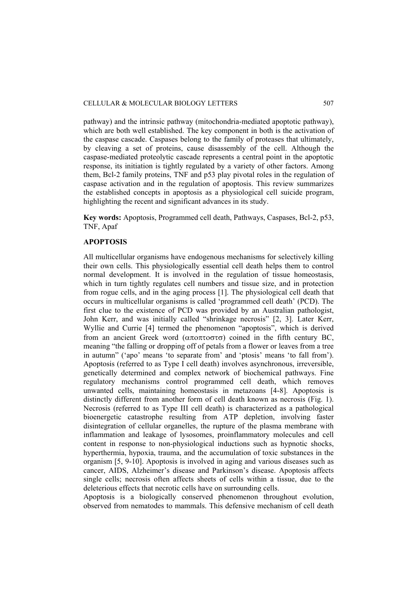pathway) and the intrinsic pathway (mitochondria-mediated apoptotic pathway), which are both well established. The key component in both is the activation of the caspase cascade. Caspases belong to the family of proteases that ultimately, by cleaving a set of proteins, cause disassembly of the cell. Although the caspase-mediated proteolytic cascade represents a central point in the apoptotic response, its initiation is tightly regulated by a variety of other factors. Among them, Bcl-2 family proteins, TNF and p53 play pivotal roles in the regulation of caspase activation and in the regulation of apoptosis. This review summarizes the established concepts in apoptosis as a physiological cell suicide program, highlighting the recent and significant advances in its study.

**Key words:** Apoptosis, Programmed cell death, Pathways, Caspases, Bcl-2, p53, TNF, Apaf

#### **APOPTOSIS**

All multicellular organisms have endogenous mechanisms for selectively killing their own cells. This physiologically essential cell death helps them to control normal development. It is involved in the regulation of tissue homeostasis, which in turn tightly regulates cell numbers and tissue size, and in protection from rogue cells, and in the aging process [1]. The physiological cell death that occurs in multicellular organisms is called 'programmed cell death' (PCD). The first clue to the existence of PCD was provided by an Australian pathologist, John Kerr, and was initially called "shrinkage necrosis" [2, 3]. Later Kerr, Wyllie and Currie [4] termed the phenomenon "apoptosis", which is derived from an ancient Greek word (αποπτοστσ) coined in the fifth century BC, meaning "the falling or dropping off of petals from a flower or leaves from a tree in autumn" ('apo' means 'to separate from' and 'ptosis' means 'to fall from'). Apoptosis (referred to as Type I cell death) involves asynchronous, irreversible, genetically determined and complex network of biochemical pathways. Fine regulatory mechanisms control programmed cell death, which removes unwanted cells, maintaining homeostasis in metazoans [4-8]. Apoptosis is distinctly different from another form of cell death known as necrosis (Fig. 1). Necrosis (referred to as Type III cell death) is characterized as a pathological bioenergetic catastrophe resulting from ATP depletion, involving faster disintegration of cellular organelles, the rupture of the plasma membrane with inflammation and leakage of lysosomes, proinflammatory molecules and cell content in response to non-physiological inductions such as hypnotic shocks, hyperthermia, hypoxia, trauma, and the accumulation of toxic substances in the organism [5, 9-10]. Apoptosis is involved in aging and various diseases such as cancer, AIDS, Alzheimer's disease and Parkinson's disease. Apoptosis affects single cells; necrosis often affects sheets of cells within a tissue, due to the deleterious effects that necrotic cells have on surrounding cells.

Apoptosis is a biologically conserved phenomenon throughout evolution, observed from nematodes to mammals. This defensive mechanism of cell death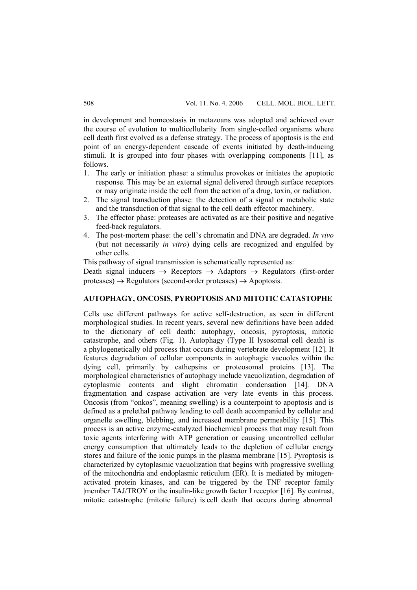in development and homeostasis in metazoans was adopted and achieved over the course of evolution to multicellularity from single-celled organisms where cell death first evolved as a defense strategy. The process of apoptosis is the end point of an energy-dependent cascade of events initiated by death-inducing stimuli. It is grouped into four phases with overlapping components [11], as follows.

- 1. The early or initiation phase: a stimulus provokes or initiates the apoptotic response. This may be an external signal delivered through surface receptors or may originate inside the cell from the action of a drug, toxin, or radiation.
- 2. The signal transduction phase: the detection of a signal or metabolic state and the transduction of that signal to the cell death effector machinery.
- 3. The effector phase: proteases are activated as are their positive and negative feed-back regulators.
- 4. The post-mortem phase: the cell's chromatin and DNA are degraded. *In vivo* (but not necessarily *in vitro*) dying cells are recognized and engulfed by other cells.

This pathway of signal transmission is schematically represented as:

Death signal inducers  $\rightarrow$  Receptors  $\rightarrow$  Adaptors  $\rightarrow$  Regulators (first-order  $proteases$ )  $\rightarrow$  Regulators (second-order proteases)  $\rightarrow$  Apoptosis.

#### **AUTOPHAGY, ONCOSIS, PYROPTOSIS AND MITOTIC CATASTOPHE**

Cells use different pathways for active self-destruction, as seen in different morphological studies. In recent years, several new definitions have been added to the dictionary of cell death: autophagy, oncosis, pyroptosis, mitotic catastrophe, and others (Fig. 1). Autophagy (Type II lysosomal cell death) is a phylogenetically old process that occurs during vertebrate development [12]. It features degradation of cellular components in autophagic vacuoles within the dying cell, primarily by cathepsins or proteosomal proteins [13]. The morphological characteristics of autophagy include vacuolization, degradation of cytoplasmic contents and slight chromatin condensation [14]. DNA fragmentation and caspase activation are very late events in this process. Oncosis (from "onkos", meaning swelling) is a counterpoint to apoptosis and is defined as a prelethal pathway leading to cell death accompanied by cellular and organelle swelling, blebbing, and increased membrane permeability [15]. This process is an active enzyme-catalyzed biochemical process that may result from toxic agents interfering with ATP generation or causing uncontrolled cellular energy consumption that ultimately leads to the depletion of cellular energy stores and failure of the ionic pumps in the plasma membrane [15]. Pyroptosis is characterized by cytoplasmic vacuolization that begins with progressive swelling of the mitochondria and endoplasmic reticulum (ER). It is mediated by mitogenactivated protein kinases, and can be triggered by the TNF receptor family |member TAJ/TROY or the insulin-like growth factor I receptor [16]. By contrast, mitotic catastrophe (mitotic failure) is cell death that occurs during abnormal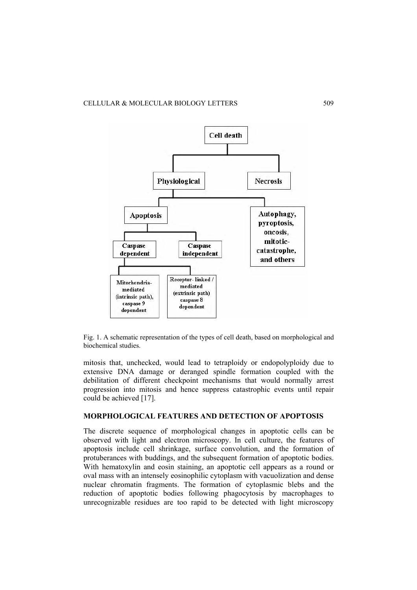

Fig. 1. A schematic representation of the types of cell death, based on morphological and biochemical studies.

mitosis that, unchecked, would lead to tetraploidy or endopolyploidy due to extensive DNA damage or deranged spindle formation coupled with the debilitation of different checkpoint mechanisms that would normally arrest progression into mitosis and hence suppress catastrophic events until repair could be achieved [17].

## **MORPHOLOGICAL FEATURES AND DETECTION OF APOPTOSIS**

The discrete sequence of morphological changes in apoptotic cells can be observed with light and electron microscopy. In cell culture, the features of apoptosis include cell shrinkage, surface convolution, and the formation of protuberances with buddings, and the subsequent formation of apoptotic bodies. With hematoxylin and eosin staining, an apoptotic cell appears as a round or oval mass with an intensely eosinophilic cytoplasm with vacuolization and dense nuclear chromatin fragments. The formation of cytoplasmic blebs and the reduction of apoptotic bodies following phagocytosis by macrophages to unrecognizable residues are too rapid to be detected with light microscopy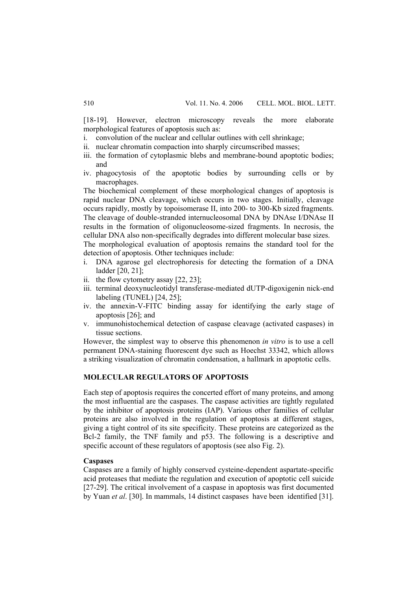[18-19]. However, electron microscopy reveals the more elaborate morphological features of apoptosis such as:

- i. convolution of the nuclear and cellular outlines with cell shrinkage;
- ii. nuclear chromatin compaction into sharply circumscribed masses;
- iii. the formation of cytoplasmic blebs and membrane-bound apoptotic bodies; and
- iv. phagocytosis of the apoptotic bodies by surrounding cells or by macrophages

The biochemical complement of these morphological changes of apoptosis is rapid nuclear DNA cleavage, which occurs in two stages. Initially, cleavage occurs rapidly, mostly by topoisomerase II, into 200- to 300-Kb sized fragments. The cleavage of double-stranded internucleosomal DNA by DNAse I/DNAse II results in the formation of oligonucleosome-sized fragments. In necrosis, the cellular DNA also non-specifically degrades into different molecular base sizes. The morphological evaluation of apoptosis remains the standard tool for the

detection of apoptosis. Other techniques include:

- i. DNA agarose gel electrophoresis for detecting the formation of a DNA ladder [20, 21];
- ii. the flow cytometry assay [22, 23];
- iii. terminal deoxynucleotidyl transferase-mediated dUTP-digoxigenin nick-end labeling (TUNEL) [24, 25];
- iv. the annexin-V-FITC binding assay for identifying the early stage of apoptosis [26]; and
- v. immunohistochemical detection of caspase cleavage (activated caspases) in tissue sections.

However, the simplest way to observe this phenomenon *in vitro* is to use a cell permanent DNA-staining fluorescent dye such as Hoechst 33342, which allows a striking visualization of chromatin condensation, a hallmark in apoptotic cells.

## **MOLECULAR REGULATORS OF APOPTOSIS**

Each step of apoptosis requires the concerted effort of many proteins, and among the most influential are the caspases. The caspase activities are tightly regulated by the inhibitor of apoptosis proteins (IAP). Various other families of cellular proteins are also involved in the regulation of apoptosis at different stages, giving a tight control of its site specificity. These proteins are categorized as the Bcl-2 family, the TNF family and p53. The following is a descriptive and specific account of these regulators of apoptosis (see also Fig. 2).

#### **Caspases**

Caspases are a family of highly conserved cysteine-dependent aspartate-specific acid proteases that mediate the regulation and execution of apoptotic cell suicide [27-29]. The critical involvement of a caspase in apoptosis was first documented by Yuan *et al*. [30]. In mammals, 14 distinct caspases have been identified [31].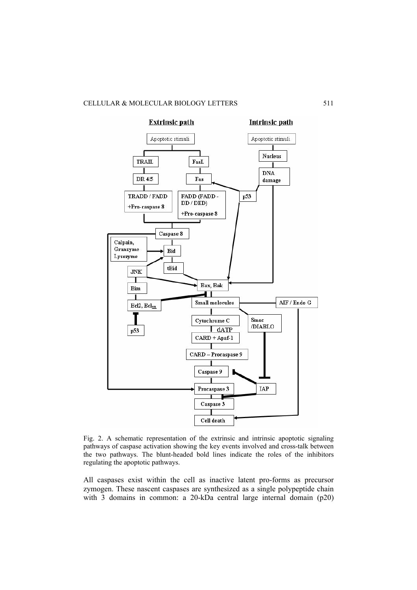

Fig. 2. A schematic representation of the extrinsic and intrinsic apoptotic signaling pathways of caspase activation showing the key events involved and cross-talk between the two pathways. The blunt-headed bold lines indicate the roles of the inhibitors regulating the apoptotic pathways.

All caspases exist within the cell as inactive latent pro-forms as precursor zymogen. These nascent caspases are synthesized as a single polypeptide chain with 3 domains in common: a 20-kDa central large internal domain (p20)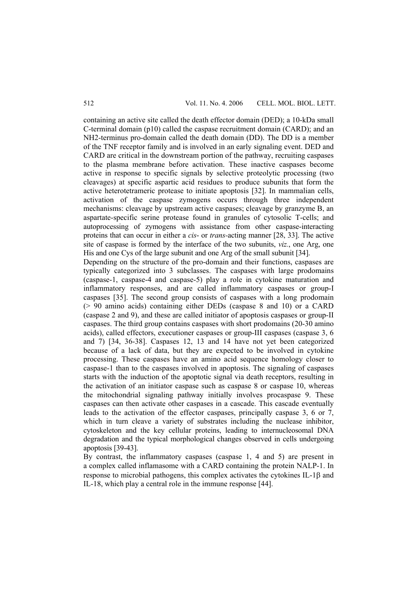containing an active site called the death effector domain (DED); a 10-kDa small C-terminal domain (p10) called the caspase recruitment domain (CARD); and an NH2-terminus pro-domain called the death domain (DD). The DD is a member of the TNF receptor family and is involved in an early signaling event. DED and CARD are critical in the downstream portion of the pathway, recruiting caspases to the plasma membrane before activation. These inactive caspases become active in response to specific signals by selective proteolytic processing (two cleavages) at specific aspartic acid residues to produce subunits that form the active heterotetrameric protease to initiate apoptosis [32]. In mammalian cells, activation of the caspase zymogens occurs through three independent mechanisms: cleavage by upstream active caspases; cleavage by granzyme B, an aspartate-specific serine protease found in granules of cytosolic T-cells; and autoprocessing of zymogens with assistance from other caspase-interacting proteins that can occur in either a *cis*- or *trans-*acting manner [28, 33]. The active site of caspase is formed by the interface of the two subunits, *viz.*, one Arg, one His and one Cys of the large subunit and one Arg of the small subunit [34].

Depending on the structure of the pro-domain and their functions, caspases are typically categorized into 3 subclasses. The caspases with large prodomains (caspase-1, caspase-4 and caspase-5) play a role in cytokine maturation and inflammatory responses, and are called inflammatory caspases or group-I caspases [35]. The second group consists of caspases with a long prodomain (> 90 amino acids) containing either DEDs (caspase 8 and 10) or a CARD (caspase 2 and 9), and these are called initiator of apoptosis caspases or group-II caspases. The third group contains caspases with short prodomains (20-30 amino acids), called effectors, executioner caspases or group-III caspases (caspase 3, 6 and 7) [34, 36-38]. Caspases 12, 13 and 14 have not yet been categorized because of a lack of data, but they are expected to be involved in cytokine processing. These caspases have an amino acid sequence homology closer to caspase-1 than to the caspases involved in apoptosis. The signaling of caspases starts with the induction of the apoptotic signal via death receptors, resulting in the activation of an initiator caspase such as caspase 8 or caspase 10, whereas the mitochondrial signaling pathway initially involves procaspase 9. These caspases can then activate other caspases in a cascade. This cascade eventually leads to the activation of the effector caspases, principally caspase 3, 6 or 7, which in turn cleave a variety of substrates including the nuclease inhibitor, cytoskeleton and the key cellular proteins, leading to internucleosomal DNA degradation and the typical morphological changes observed in cells undergoing apoptosis [39-43].

By contrast, the inflammatory caspases (caspase 1, 4 and 5) are present in a complex called inflamasome with a CARD containing the protein NALP-1. In response to microbial pathogens, this complex activates the cytokines IL-1β and IL-18, which play a central role in the immune response [44].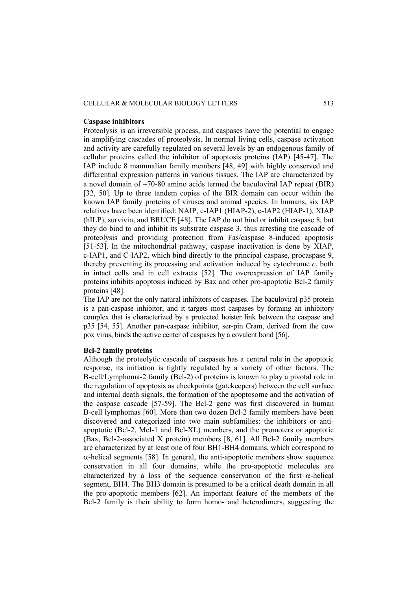#### CELLULAR & MOLECULAR BIOLOGY LETTERS 513

#### **Caspase inhibitors**

Proteolysis is an irreversible process, and caspases have the potential to engage in amplifying cascades of proteolysis. In normal living cells, caspase activation and activity are carefully regulated on several levels by an endogenous family of cellular proteins called the inhibitor of apoptosis proteins (IAP) [45-47]. The IAP include 8 mammalian family members [48, 49] with highly conserved and differential expression patterns in various tissues. The IAP are characterized by a novel domain of ∼70-80 amino acids termed the baculoviral IAP repeat (BIR) [32, 50]. Up to three tandem copies of the BIR domain can occur within the known IAP family proteins of viruses and animal species. In humans, six IAP relatives have been identified: NAIP, c-IAP1 (HIAP-2), c-IAP2 (HIAP-1), XIAP (hILP), survivin, and BRUCE [48]. The IAP do not bind or inhibit caspase 8, but they do bind to and inhibit its substrate caspase 3, thus arresting the cascade of proteolysis and providing protection from Fas/caspase 8-induced apoptosis [51-53]. In the mitochondrial pathway, caspase inactivation is done by XIAP, c-IAP1, and C-IAP2, which bind directly to the principal caspase, procaspase 9, thereby preventing its processing and activation induced by cytochrome  $c$ , both in intact cells and in cell extracts [52]. The overexpression of IAP family proteins inhibits apoptosis induced by Bax and other pro-apoptotic Bcl-2 family proteins [48].

The IAP are not the only natural inhibitors of caspases. The baculoviral p35 protein is a pan-caspase inhibitor, and it targets most caspases by forming an inhibitory complex that is characterized by a protected hoister link between the caspase and p35 [54, 55]. Another pan-caspase inhibitor, ser-pin Cram, derived from the cow pox virus, binds the active center of caspases by a covalent bond [56].

## **Bcl-2 family proteins**

Although the proteolytic cascade of caspases has a central role in the apoptotic response, its initiation is tightly regulated by a variety of other factors. The B-cell/Lymphoma-2 family (Bcl-2) of proteins is known to play a pivotal role in the regulation of apoptosis as checkpoints (gatekeepers) between the cell surface and internal death signals, the formation of the apoptosome and the activation of the caspase cascade [57-59]. The Bcl-2 gene was first discovered in human B-cell lymphomas [60]. More than two dozen Bcl-2 family members have been discovered and categorized into two main subfamilies: the inhibitors or antiapoptotic (Bcl-2, Mcl-1 and Bcl-XL) members, and the promoters or apoptotic (Bax, Bcl-2-associated X protein) members [8, 61]. All Bcl-2 family members are characterized by at least one of four BH1-BH4 domains, which correspond to α-helical segments [58]. In general, the anti-apoptotic members show sequence conservation in all four domains, while the pro-apoptotic molecules are characterized by a loss of the sequence conservation of the first  $\alpha$ -helical segment, BH4. The BH3 domain is presumed to be a critical death domain in all the pro-apoptotic members [62]. An important feature of the members of the Bcl-2 family is their ability to form homo- and heterodimers, suggesting the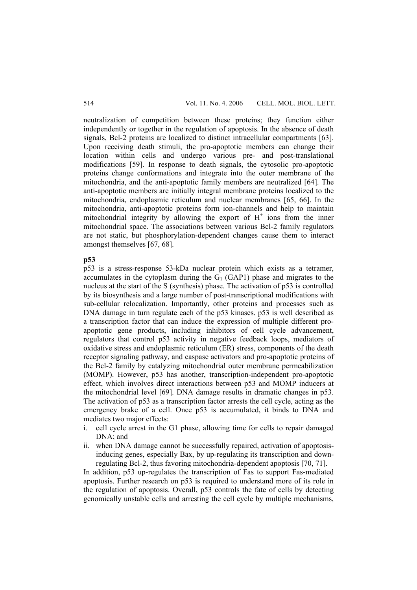neutralization of competition between these proteins; they function either independently or together in the regulation of apoptosis. In the absence of death signals, Bcl-2 proteins are localized to distinct intracellular compartments [63]. Upon receiving death stimuli, the pro-apoptotic members can change their location within cells and undergo various pre- and post-translational modifications [59]. In response to death signals, the cytosolic pro-apoptotic proteins change conformations and integrate into the outer membrane of the mitochondria, and the anti-apoptotic family members are neutralized [64]. The anti-apoptotic members are initially integral membrane proteins localized to the mitochondria, endoplasmic reticulum and nuclear membranes [65, 66]. In the mitochondria, anti-apoptotic proteins form ion-channels and help to maintain mitochondrial integrity by allowing the export of  $H^+$  ions from the inner mitochondrial space. The associations between various Bcl-2 family regulators are not static, but phosphorylation-dependent changes cause them to interact amongst themselves [67, 68].

#### **p53**

p53 is a stress-response 53-kDa nuclear protein which exists as a tetramer, accumulates in the cytoplasm during the  $G_1$  (GAP1) phase and migrates to the nucleus at the start of the S (synthesis) phase. The activation of p53 is controlled by its biosynthesis and a large number of post-transcriptional modifications with sub-cellular relocalization. Importantly, other proteins and processes such as DNA damage in turn regulate each of the p53 kinases. p53 is well described as a transcription factor that can induce the expression of multiple different proapoptotic gene products, including inhibitors of cell cycle advancement, regulators that control p53 activity in negative feedback loops, mediators of oxidative stress and endoplasmic reticulum (ER) stress, components of the death receptor signaling pathway, and caspase activators and pro-apoptotic proteins of the Bcl-2 family by catalyzing mitochondrial outer membrane permeabilization (MOMP). However, p53 has another, transcription-independent pro-apoptotic effect, which involves direct interactions between p53 and MOMP inducers at the mitochondrial level [69]. DNA damage results in dramatic changes in p53. The activation of p53 as a transcription factor arrests the cell cycle, acting as the emergency brake of a cell. Once p53 is accumulated, it binds to DNA and mediates two major effects:

- i. cell cycle arrest in the G1 phase, allowing time for cells to repair damaged DNA; and
- ii. when DNA damage cannot be successfully repaired, activation of apoptosisinducing genes, especially Bax, by up-regulating its transcription and downregulating Bcl-2, thus favoring mitochondria-dependent apoptosis [70, 71].

In addition, p53 up-regulates the transcription of Fas to support Fas-mediated apoptosis. Further research on p53 is required to understand more of its role in the regulation of apoptosis. Overall, p53 controls the fate of cells by detecting genomically unstable cells and arresting the cell cycle by multiple mechanisms,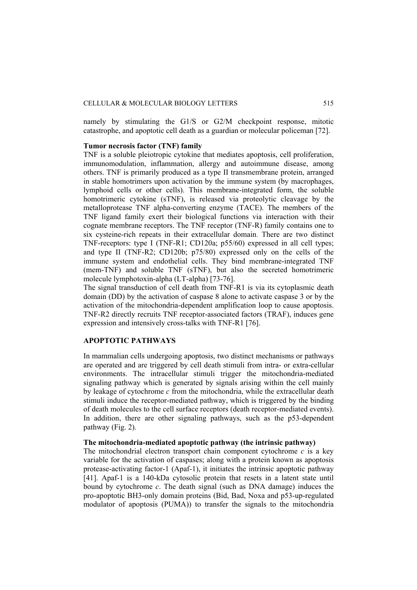namely by stimulating the G1/S or G2/M checkpoint response, mitotic catastrophe, and apoptotic cell death as a guardian or molecular policeman [72].

#### **Tumor necrosis factor (TNF) family**

TNF is a soluble pleiotropic cytokine that mediates apoptosis, cell proliferation, immunomodulation, inflammation, allergy and autoimmune disease, among others. TNF is primarily produced as a type II transmembrane protein, arranged in stable homotrimers upon activation by the immune system (by macrophages, lymphoid cells or other cells). This membrane-integrated form, the soluble homotrimeric cytokine (sTNF), is released via proteolytic cleavage by the metalloprotease TNF alpha-converting enzyme (TACE). The members of the TNF ligand family exert their biological functions via interaction with their cognate membrane receptors. The TNF receptor (TNF-R) family contains one to six cysteine-rich repeats in their extracellular domain. There are two distinct TNF-receptors: type I (TNF-R1; CD120a; p55/60) expressed in all cell types; and type II (TNF-R2; CD120b; p75/80) expressed only on the cells of the immune system and endothelial cells. They bind membrane-integrated TNF (mem-TNF) and soluble TNF (sTNF), but also the secreted homotrimeric molecule lymphotoxin-alpha (LT-alpha) [73-76].

The signal transduction of cell death from TNF-R1 is via its cytoplasmic death domain (DD) by the activation of caspase 8 alone to activate caspase 3 or by the activation of the mitochondria-dependent amplification loop to cause apoptosis. TNF-R2 directly recruits TNF receptor-associated factors (TRAF), induces gene expression and intensively cross-talks with TNF-R1 [76].

# **APOPTOTIC PATHWAYS**

In mammalian cells undergoing apoptosis, two distinct mechanisms or pathways are operated and are triggered by cell death stimuli from intra- or extra-cellular environments. The intracellular stimuli trigger the mitochondria-mediated signaling pathway which is generated by signals arising within the cell mainly by leakage of cytochrome *c* from the mitochondria, while the extracellular death stimuli induce the receptor-mediated pathway, which is triggered by the binding of death molecules to the cell surface receptors (death receptor-mediated events). In addition, there are other signaling pathways, such as the p53-dependent pathway (Fig. 2).

## **The mitochondria-mediated apoptotic pathway (the intrinsic pathway)**

The mitochondrial electron transport chain component cytochrome  $c$  is a key variable for the activation of caspases; along with a protein known as apoptosis protease-activating factor-1 (Apaf-1), it initiates the intrinsic apoptotic pathway [41]. Apaf-1 is a 140-kDa cytosolic protein that resets in a latent state until bound by cytochrome *c*. The death signal (such as DNA damage) induces the pro-apoptotic BH3-only domain proteins (Bid, Bad, Noxa and p53-up-regulated modulator of apoptosis (PUMA)) to transfer the signals to the mitochondria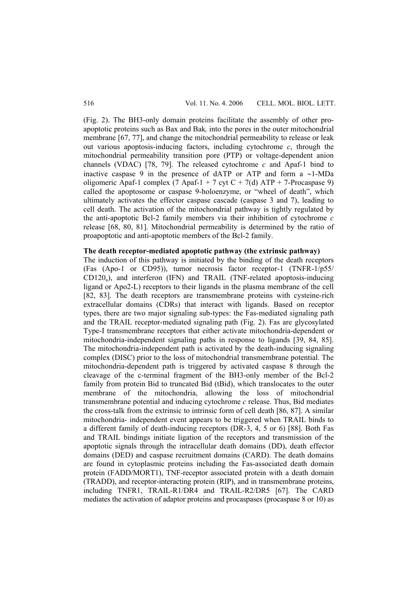(Fig. 2). The BH3-only domain proteins facilitate the assembly of other proapoptotic proteins such as Bax and Bak*,* into the pores in the outer mitochondrial membrane [67, 77], and change the mitochondrial permeability to release or leak out various apoptosis-inducing factors, including cytochrome *c*, through the mitochondrial permeability transition pore (PTP) or voltage-dependent anion channels (VDAC) [78, 79]. The released cytochrome *c* and Apaf-1 bind to inactive caspase 9 in the presence of dATP or ATP and form a ∼1-MDa oligomeric Apaf-1 complex  $(7 \text{ A} \text{p} \cdot 4 + 7 \text{ c} \cdot \text{y} \cdot 4 + 7 \cdot \text{A} \cdot 4)$  ATP + 7-Procaspase 9) called the apoptosome or caspase 9-holoenzyme, or "wheel of death", which ultimately activates the effector caspase cascade (caspase 3 and 7), leading to cell death. The activation of the mitochondrial pathway is tightly regulated by the anti-apoptotic Bcl-2 family members via their inhibition of cytochrome *c* release [68, 80, 81]. Mitochondrial permeability is determined by the ratio of proapoptotic and anti-apoptotic members of the Bcl-2 family.

## **The death receptor-mediated apoptotic pathway (the extrinsic pathway)**

The induction of this pathway is initiated by the binding of the death receptors (Fas (Apo-1 or CD95)), tumor necrosis factor receptor-1 (TNFR-1/p55/  $CD120<sub>a</sub>$ ), and interferon (IFN) and TRAIL (TNF-related apoptosis-inducing ligand or Apo2-L) receptors to their ligands in the plasma membrane of the cell [82, 83]. The death receptors are transmembrane proteins with cysteine-rich extracellular domains (CDRs) that interact with ligands. Based on receptor types, there are two major signaling sub-types: the Fas-mediated signaling path and the TRAIL receptor-mediated signaling path (Fig. 2). Fas are glycosylated Type-I transmembrane receptors that either activate mitochondria-dependent or mitochondria-independent signaling paths in response to ligands [39, 84, 85]. The mitochondria-independent path is activated by the death-inducing signaling complex (DISC) prior to the loss of mitochondrial transmembrane potential. The mitochondria-dependent path is triggered by activated caspase 8 through the cleavage of the c-terminal fragment of the BH3-only member of the Bcl-2 family from protein Bid to truncated Bid (tBid), which translocates to the outer membrane of the mitochondria, allowing the loss of mitochondrial transmembrane potential and inducing cytochrome *c* release. Thus, Bid mediates the cross-talk from the extrinsic to intrinsic form of cell death [86, 87]. A similar mitochondria- independent event appears to be triggered when TRAIL binds to a different family of death-inducing receptors (DR-3, 4, 5 or 6) [88]. Both Fas and TRAIL bindings initiate ligation of the receptors and transmission of the apoptotic signals through the intracellular death domains (DD), death effector domains (DED) and caspase recruitment domains (CARD). The death domains are found in cytoplasmic proteins including the Fas-associated death domain protein (FADD/MORT1), TNF-receptor associated protein with a death domain (TRADD), and receptor-interacting protein (RIP), and in transmembrane proteins, including TNFR1, TRAIL-R1/DR4 and TRAIL-R2/DR5 [67]. The CARD mediates the activation of adaptor proteins and procaspases (procaspase 8 or 10) as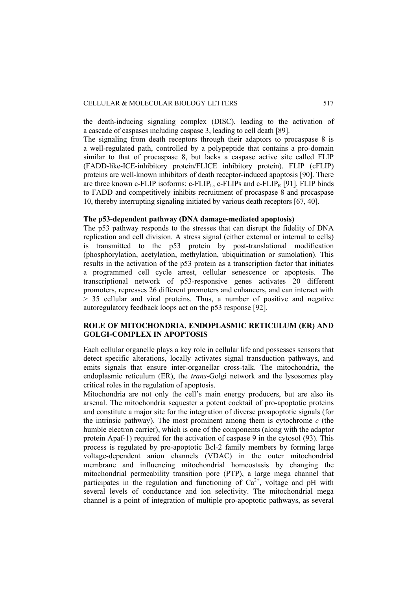the death-inducing signaling complex (DISC), leading to the activation of a cascade of caspases including caspase 3, leading to cell death [89].

The signaling from death receptors through their adaptors to procaspase 8 is a well-regulated path, controlled by a polypeptide that contains a pro-domain similar to that of procaspase 8, but lacks a caspase active site called FLIP (FADD-like-ICE-inhibitory protein/FLICE inhibitory protein). FLIP (cFLIP) proteins are well-known inhibitors of death receptor-induced apoptosis [90]. There are three known c-FLIP isoforms: c-FLIP<sub>L</sub>, c-FLIPs and c-FLIP<sub>R</sub> [91]. FLIP binds to FADD and competitively inhibits recruitment of procaspase 8 and procaspase 10, thereby interrupting signaling initiated by various death receptors [67, 40].

#### **The p53-dependent pathway (DNA damage-mediated apoptosis)**

The p53 pathway responds to the stresses that can disrupt the fidelity of DNA replication and cell division. A stress signal (either external or internal to cells) is transmitted to the p53 protein by post-translational modification (phosphorylation, acetylation, methylation, ubiquitination or sumolation). This results in the activation of the p53 protein as a transcription factor that initiates a programmed cell cycle arrest, cellular senescence or apoptosis. The transcriptional network of p53-responsive genes activates 20 different promoters, represses 26 different promoters and enhancers, and can interact with > 35 cellular and viral proteins. Thus, a number of positive and negative autoregulatory feedback loops act on the p53 response [92].

## **ROLE OF MITOCHONDRIA, ENDOPLASMIC RETICULUM (ER) AND GOLGI-COMPLEX IN APOPTOSIS**

Each cellular organelle plays a key role in cellular life and possesses sensors that detect specific alterations, locally activates signal transduction pathways, and emits signals that ensure inter-organellar cross-talk. The mitochondria, the endoplasmic reticulum (ER), the *trans*-Golgi network and the lysosomes play critical roles in the regulation of apoptosis.

Mitochondria are not only the cell's main energy producers, but are also its arsenal. The mitochondria sequester a potent cocktail of pro-apoptotic proteins and constitute a major site for the integration of diverse proapoptotic signals (for the intrinsic pathway). The most prominent among them is cytochrome  $c$  (the humble electron carrier), which is one of the components (along with the adaptor protein Apaf-1) required for the activation of caspase 9 in the cytosol (93). This process is regulated by pro-apoptotic Bcl-2 family members by forming large voltage-dependent anion channels (VDAC) in the outer mitochondrial membrane and influencing mitochondrial homeostasis by changing the mitochondrial permeability transition pore (PTP), a large mega channel that participates in the regulation and functioning of  $Ca^{2+}$ , voltage and pH with several levels of conductance and ion selectivity. The mitochondrial mega channel is a point of integration of multiple pro-apoptotic pathways, as several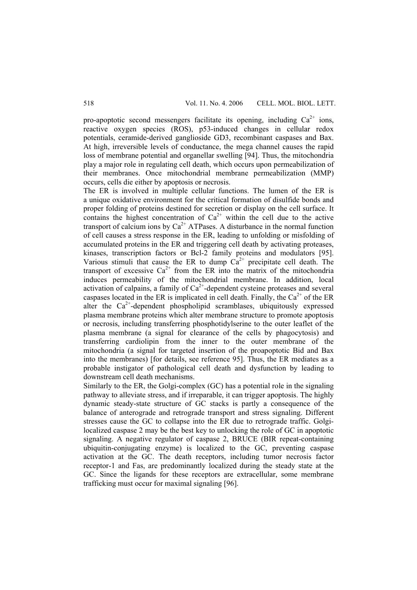pro-apoptotic second messengers facilitate its opening, including  $Ca^{2+}$  ions, reactive oxygen species (ROS), p53-induced changes in cellular redox potentials, ceramide-derived ganglioside GD3, recombinant caspases and Bax. At high, irreversible levels of conductance, the mega channel causes the rapid loss of membrane potential and organellar swelling [94]. Thus, the mitochondria play a major role in regulating cell death, which occurs upon permeabilization of their membranes. Once mitochondrial membrane permeabilization (MMP) occurs, cells die either by apoptosis or necrosis.

The ER is involved in multiple cellular functions. The lumen of the ER is a unique oxidative environment for the critical formation of disulfide bonds and proper folding of proteins destined for secretion or display on the cell surface. It contains the highest concentration of  $Ca^{2+}$  within the cell due to the active transport of calcium ions by  $Ca^{2+}$  ATPases. A disturbance in the normal function of cell causes a stress response in the ER, leading to unfolding or misfolding of accumulated proteins in the ER and triggering cell death by activating proteases, kinases, transcription factors or Bcl-2 family proteins and modulators [95]. Various stimuli that cause the ER to dump  $Ca^{2+}$  precipitate cell death. The transport of excessive  $Ca^{2+}$  from the ER into the matrix of the mitochondria induces permeability of the mitochondrial membrane. In addition, local activation of calpains, a family of  $Ca<sup>2+</sup>$ -dependent cysteine proteases and several caspases located in the ER is implicated in cell death. Finally, the  $Ca^{2+}$  of the ER alter the  $Ca^{2+}$ -dependent phospholipid scramblases, ubiquitously expressed plasma membrane proteins which alter membrane structure to promote apoptosis or necrosis, including transferring phosphotidylserine to the outer leaflet of the plasma membrane (a signal for clearance of the cells by phagocytosis) and transferring cardiolipin from the inner to the outer membrane of the mitochondria (a signal for targeted insertion of the proapoptotic Bid and Bax into the membranes) [for details, see reference 95]. Thus, the ER mediates as a probable instigator of pathological cell death and dysfunction by leading to downstream cell death mechanisms.

Similarly to the ER, the Golgi-complex (GC) has a potential role in the signaling pathway to alleviate stress, and if irreparable, it can trigger apoptosis. The highly dynamic steady-state structure of GC stacks is partly a consequence of the balance of anterograde and retrograde transport and stress signaling. Different stresses cause the GC to collapse into the ER due to retrograde traffic. Golgilocalized caspase 2 may be the best key to unlocking the role of GC in apoptotic signaling. A negative regulator of caspase 2, BRUCE (BIR repeat-containing ubiquitin-conjugating enzyme) is localized to the GC, preventing caspase activation at the GC. The death receptors, including tumor necrosis factor receptor-1 and Fas, are predominantly localized during the steady state at the GC. Since the ligands for these receptors are extracellular, some membrane trafficking must occur for maximal signaling [96].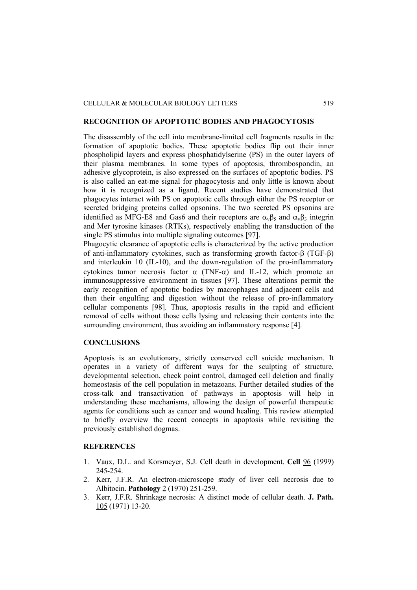### **RECOGNITION OF APOPTOTIC BODIES AND PHAGOCYTOSIS**

The disassembly of the cell into membrane-limited cell fragments results in the formation of apoptotic bodies. These apoptotic bodies flip out their inner phospholipid layers and express phosphatidylserine (PS) in the outer layers of their plasma membranes. In some types of apoptosis, thrombospondin, an adhesive glycoprotein, is also expressed on the surfaces of apoptotic bodies. PS is also called an eat-me signal for phagocytosis and only little is known about how it is recognized as a ligand. Recent studies have demonstrated that phagocytes interact with PS on apoptotic cells through either the PS receptor or secreted bridging proteins called opsonins. The two secreted PS opsonins are identified as MFG-E8 and Gas6 and their receptors are  $\alpha_v \beta_5$  and  $\alpha_v \beta_3$  integrin and Mer tyrosine kinases (RTKs), respectively enabling the transduction of the single PS stimulus into multiple signaling outcomes [97].

Phagocytic clearance of apoptotic cells is characterized by the active production of anti-inflammatory cytokines, such as transforming growth factor-β (TGF-β) and interleukin 10 (IL-10), and the down-regulation of the pro-inflammatory cytokines tumor necrosis factor  $\alpha$  (TNF- $\alpha$ ) and IL-12, which promote an immunosuppressive environment in tissues [97]. These alterations permit the early recognition of apoptotic bodies by macrophages and adjacent cells and then their engulfing and digestion without the release of pro-inflammatory cellular components [98]. Thus, apoptosis results in the rapid and efficient removal of cells without those cells lysing and releasing their contents into the surrounding environment, thus avoiding an inflammatory response [4].

#### **CONCLUSIONS**

Apoptosis is an evolutionary, strictly conserved cell suicide mechanism. It operates in a variety of different ways for the sculpting of structure, developmental selection, check point control, damaged cell deletion and finally homeostasis of the cell population in metazoans. Further detailed studies of the cross-talk and transactivation of pathways in apoptosis will help in understanding these mechanisms, allowing the design of powerful therapeutic agents for conditions such as cancer and wound healing. This review attempted to briefly overview the recent concepts in apoptosis while revisiting the previously established dogmas.

#### **REFERENCES**

- 1. Vaux, D.L. and Korsmeyer, S.J. Cell death in development. **Cell** 96 (1999) 245-254.
- 2. Kerr, J.F.R. An electron-microscope study of liver cell necrosis due to Albitocin. **Pathology** 2 (1970) 251-259.
- 3. Kerr, J.F.R. Shrinkage necrosis: A distinct mode of cellular death. **J. Path.** 105 (1971) 13-20.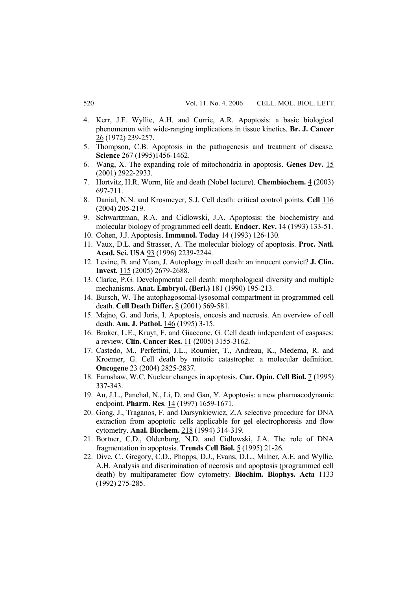- 4. Kerr, J.F. Wyllie, A.H. and Currie, A.R. Apoptosis: a basic biological phenomenon with wide-ranging implications in tissue kinetics. **Br. J. Cancer** 26 (1972) 239-257.
- 5. Thompson, C.B. Apoptosis in the pathogenesis and treatment of disease. **Science** 267 (1995)1456-1462.
- 6. Wang, X. The expanding role of mitochondria in apoptosis. **Genes Dev.** 15 (2001) 2922-2933.
- 7. Hortvitz, H.R. Worm, life and death (Nobel lecture). **Chembiochem.** 4 (2003) 697-711.
- 8. Danial, N.N. and Krosmeyer, S.J. Cell death: critical control points. **Cell** 116 (2004) 205-219.
- 9. Schwartzman, R.A. and Cidlowski, J.A. Apoptosis: the biochemistry and molecular biology of programmed cell death. **Endocr. Rev.** 14 (1993) 133-51.
- 10. Cohen, J.J. Apoptosis. **Immunol. Today** 14 (1993) 126-130.
- 11. Vaux, D.L. and Strasser, A. The molecular biology of apoptosis. **Proc. Natl. Acad. Sci. USA** 93 (1996) 2239-2244.
- 12. Levine, B. and Yuan, J. Autophagy in cell death: an innocent convict? **J. Clin. Invest.** 115 (2005) 2679-2688.
- 13. Clarke, P.G. Developmental cell death: morphological diversity and multiple mechanisms. **Anat. Embryol. (Berl.)** 181 (1990) 195-213.
- 14. Bursch, W. The autophagosomal-lysosomal compartment in programmed cell death. **Cell Death Differ.** 8 (2001) 569-581.
- 15. Majno, G. and Joris, I. Apoptosis, oncosis and necrosis. An overview of cell death. **Am. J. Pathol.** 146 (1995) 3-15.
- 16. Broker, L.E., Kruyt, F. and Giaccone, G. Cell death independent of caspases: a review. **Clin. Cancer Res.** 11 (2005) 3155-3162.
- 17. Castedo, M., Perfettini, J.L., Roumier, T., Andreau, K., Medema, R. and Kroemer, G. Cell death by mitotic catastrophe: a molecular definition. **Oncogene** 23 (2004) 2825-2837.
- 18. Earnshaw, W.C. Nuclear changes in apoptosis. **Cur. Opin. Cell Biol.** 7 (1995) 337-343.
- 19. Au, J.L., Panchal, N., Li, D. and Gan, Y. Apoptosis: a new pharmacodynamic endpoint. **Pharm. Res**. 14 (1997) 1659-1671.
- 20. Gong, J., Traganos, F. and Darsynkiewicz, Z.A selective procedure for DNA extraction from apoptotic cells applicable for gel electrophoresis and flow cytometry. **Anal. Biochem.** 218 (1994) 314-319.
- 21. Bortner, C.D., Oldenburg, N.D. and Cidlowski, J.A. The role of DNA fragmentation in apoptosis. **Trends Cell Biol.** 5 (1995) 21-26.
- 22. Dive, C., Gregory, C.D., Phopps, D.J., Evans, D.L., Milner, A.E. and Wyllie, A.H. Analysis and discrimination of necrosis and apoptosis (programmed cell death) by multiparameter flow cytometry. **Biochim. Biophys. Acta** 1133 (1992) 275-285.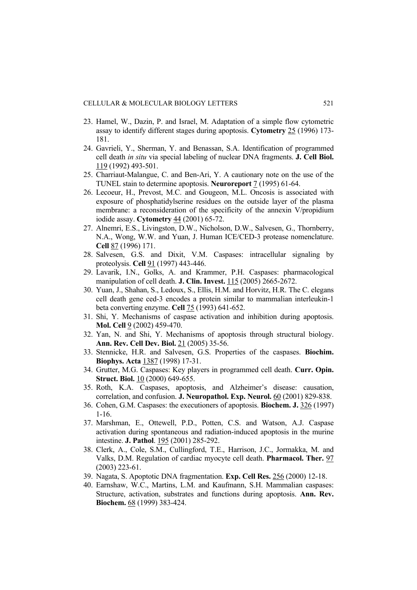- 23. Hamel, W., Dazin, P. and Israel, M. Adaptation of a simple flow cytometric assay to identify different stages during apoptosis. **Cytometry** 25 (1996) 173- 181.
- 24. Gavrieli, Y., Sherman, Y. and Benassan, S.A. Identification of programmed cell death *in situ* via special labeling of nuclear DNA fragments. **J. Cell Biol.** 119 (1992) 493-501.
- 25. Charriaut-Malangue, C. and Ben-Ari, Y. A cautionary note on the use of the TUNEL stain to determine apoptosis. **Neuroreport** 7 (1995) 61-64.
- 26. Lecoeur, H., Prevost, M.C. and Gougeon, M.L. Oncosis is associated with exposure of phosphatidylserine residues on the outside layer of the plasma membrane: a reconsideration of the specificity of the annexin V/propidium iodide assay. **Cytometry** 44 (2001) 65-72.
- 27. Alnemri, E.S., Livingston, D.W., Nicholson, D.W., Salvesen, G., Thornberry, N.A., Wong, W.W. and Yuan, J. Human ICE/CED-3 protease nomenclature. **Cell** 87 (1996) 171.
- 28. Salvesen, G.S. and Dixit, V.M. Caspases: intracellular signaling by proteolysis. **Cell** 91 (1997) 443-446.
- 29. Lavarik, I.N., Golks, A. and Krammer, P.H. Caspases: pharmacological manipulation of cell death. **J. Clin. Invest.** 115 (2005) 2665-2672.
- 30. Yuan, J., Shahan, S., Ledoux, S., Ellis, H.M. and Horvitz, H.R. The C. elegans cell death gene ced-3 encodes a protein similar to mammalian interleukin-1 beta converting enzyme. **Cell** 75 (1993) 641-652.
- 31. Shi, Y. Mechanisms of caspase activation and inhibition during apoptosis. **Mol. Cell** 9 (2002) 459-470.
- 32. Yan, N. and Shi, Y. Mechanisms of apoptosis through structural biology. **Ann. Rev. Cell Dev. Biol.** 21 (2005) 35-56.
- 33. Stennicke, H.R. and Salvesen, G.S. Properties of the caspases. **Biochim. Biophys. Acta** 1387 (1998) 17-31.
- 34. Grutter, M.G. Caspases: Key players in programmed cell death. **Curr. Opin. Struct. Biol.** 10 (2000) 649-655.
- 35. Roth, K.A. Caspases, apoptosis, and Alzheimer's disease: causation, correlation, and confusion. **J. Neuropathol. Exp. Neurol.** 60 (2001) 829-838.
- 36. Cohen, G.M. Caspases: the executioners of apoptosis. **Biochem. J.** 326 (1997) 1-16.
- 37. Marshman, E., Ottewell, P.D., Potten, C.S. and Watson, A.J. Caspase activation during spontaneous and radiation-induced apoptosis in the murine intestine. **J. Pathol**. 195 (2001) 285-292.
- 38. Clerk, A., Cole, S.M., Cullingford, T.E., Harrison, J.C., Jormakka, M. and Valks, D.M. Regulation of cardiac myocyte cell death. **Pharmacol. Ther.** 97 (2003) 223-61.
- 39. Nagata, S. Apoptotic DNA fragmentation. **Exp. Cell Res.** 256 (2000) 12-18.
- 40. Earnshaw, W.C., Martins, L.M. and Kaufmann, S.H. Mammalian caspases: Structure, activation, substrates and functions during apoptosis. **Ann. Rev. Biochem.** 68 (1999) 383-424.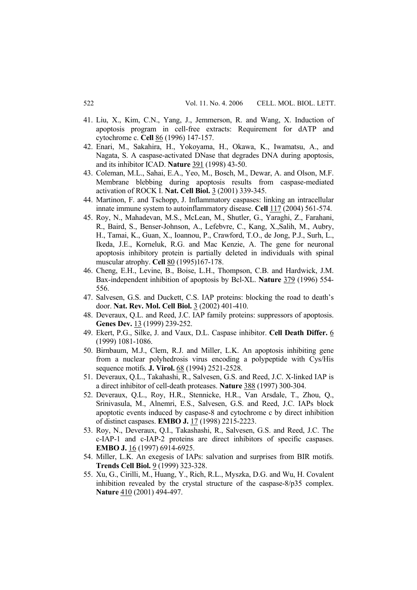- 41. Liu, X., Kim, C.N., Yang, J., Jemmerson, R. and Wang, X. Induction of apoptosis program in cell-free extracts: Requirement for dATP and cytochrome c. **Cell** 86 (1996) 147-157.
- 42. Enari, M., Sakahira, H., Yokoyama, H., Okawa, K., Iwamatsu, A., and Nagata, S. A caspase-activated DNase that degrades DNA during apoptosis, and its inhibitor ICAD. **Nature** 391 (1998) 43-50.
- 43. Coleman, M.L., Sahai, E.A., Yeo, M., Bosch, M., Dewar, A. and Olson, M.F. Membrane blebbing during apoptosis results from caspase-mediated activation of ROCK I. **Nat. Cell Biol.** 3 (2001) 339-345.
- 44. Martinon, F. and Tschopp, J. Inflammatory caspases: linking an intracellular innate immune system to autoinflammatory disease. **Cell** 117 (2004) 561-574.
- 45. Roy, N., Mahadevan, M.S., McLean, M., Shutler, G., Yaraghi, Z., Farahani, R., Baird, S., Benser-Johnson, A., Lefebvre, C., Kang, X.,Salih, M., Aubry, H., Tamai, K., Guan, X., Ioannou, P., Crawford, T.O., de Jong, P.J., Surh, L., Ikeda, J.E., Korneluk, R.G. and Mac Kenzie, A. The gene for neuronal apoptosis inhibitory protein is partially deleted in individuals with spinal muscular atrophy. **Cell** 80 (1995)167-178.
- 46. Cheng, E.H., Levine, B., Boise, L.H., Thompson, C.B. and Hardwick, J.M. Bax-independent inhibition of apoptosis by Bcl-XL. **Nature** 379 (1996) 554- 556.
- 47. Salvesen, G.S. and Duckett, C.S. IAP proteins: blocking the road to death's door. **Nat. Rev. Mol. Cell Biol.** 3 (2002) 401-410.
- 48. Deveraux, Q.L. and Reed, J.C. IAP family proteins: suppressors of apoptosis. **Genes Dev.** 13 (1999) 239-252.
- 49. Ekert, P.G., Silke, J. and Vaux, D.L. Caspase inhibitor. **Cell Death Differ.** 6 (1999) 1081-1086.
- 50. Birnbaum, M.J., Clem, R.J. and Miller, L.K. An apoptosis inhibiting gene from a nuclear polyhedrosis virus encoding a polypeptide with Cys/His sequence motifs. **J. Virol.** 68 (1994) 2521-2528.
- 51. Deveraux, Q.L., Takahashi, R., Salvesen, G.S. and Reed, J.C. X-linked IAP is a direct inhibitor of cell-death proteases. **Nature** 388 (1997) 300-304.
- 52. Deveraux, Q.L., Roy, H.R., Stennicke, H.R., Van Arsdale, T., Zhou, Q., Srinivasula, M., Alnemri, E.S., Salvesen, G.S. and Reed, J.C. IAPs block apoptotic events induced by caspase-8 and cytochrome c by direct inhibition of distinct caspases. **EMBO J.** 17 (1998) 2215-2223.
- 53. Roy, N., Deveraux, Q.I., Takashashi, R., Salvesen, G.S. and Reed, J.C. The c-IAP-1 and c-IAP-2 proteins are direct inhibitors of specific caspases. **EMBO J.** 16 (1997) 6914-6925.
- 54. Miller, L.K. An exegesis of IAPs: salvation and surprises from BIR motifs. **Trends Cell Biol.** 9 (1999) 323-328.
- 55. Xu, G., Cirilli, M., Huang, Y., Rich, R.L., Myszka, D.G. and Wu, H. Covalent inhibition revealed by the crystal structure of the caspase-8/p35 complex. **Nature** 410 (2001) 494-497.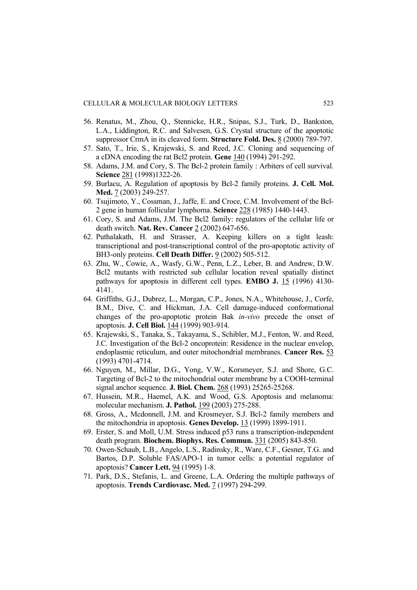- 56. Renatus, M., Zhou, Q., Stennicke, H.R., Snipas, S.J., Turk, D., Bankston, L.A., Liddington, R.C. and Salvesen, G.S. Crystal structure of the apoptotic suppressor CrmA in its cleaved form. **Structure Fold. Des.** 8 (2000) 789-797.
- 57. Sato, T., Irie, S., Krajewski, S. and Reed, J.C. Cloning and sequencing of a cDNA encoding the rat Bcl2 protein. **Gene** 140 (1994) 291-292.
- 58. Adams, J.M. and Cory, S. The Bcl-2 protein family : Arbiters of cell survival. **Science** 281 (1998)1322-26.
- 59. Burlacu, A. Regulation of apoptosis by Bcl-2 family proteins. **J. Cell. Mol. Med.** 7 (2003) 249-257.
- 60. Tsujimoto, Y., Cossman, J., Jaffe, E. and Croce, C.M. Involvement of the Bcl-2 gene in human follicular lymphoma. **Science** 228 (1985) 1440-1443.
- 61. Cory, S. and Adams, J.M. The Bcl2 family: regulators of the cellular life or death switch. **Nat. Rev. Cancer** 2 (2002) 647-656.
- 62. Puthalakath, H. and Strasser, A. Keeping killers on a tight leash: transcriptional and post-transcriptional control of the pro-apoptotic activity of BH3-only proteins. **Cell Death Differ.** 9 (2002) 505-512.
- 63. Zhu, W., Cowie, A., Wasfy, G.W., Penn, L.Z., Leber, B. and Andrew, D.W. Bcl2 mutants with restricted sub cellular location reveal spatially distinct pathways for apoptosis in different cell types. **EMBO J.** 15 (1996) 4130- 4141.
- 64. Griffiths, G.J., Dubrez, L., Morgan, C.P., Jones, N.A., Whitehouse, J., Corfe, B.M., Dive, C. and Hickman, J.A. Cell damage-induced conformational changes of the pro-apoptotic protein Bak *in-vivo* precede the onset of apoptosis. **J. Cell Biol.** 144 (1999) 903-914.
- 65. Krajewski, S., Tanaka, S., Takayama, S., Schibler, M.J., Fenton, W. and Reed, J.C. Investigation of the Bcl-2 oncoprotein: Residence in the nuclear envelop, endoplasmic reticulum, and outer mitochondrial membranes. **Cancer Res.** 53 (1993) 4701-4714.
- 66. Nguyen, M., Millar, D.G., Yong, V.W., Korsmeyer, S.J. and Shore, G.C. Targeting of Bcl-2 to the mitochondrial outer membrane by a COOH-terminal signal anchor sequence. **J. Biol. Chem.** 268 (1993) 25265-25268.
- 67. Hussein, M.R., Haemel, A.K. and Wood, G.S. Apoptosis and melanoma: molecular mechanism. **J. Pathol.** 199 (2003) 275-288.
- 68. Gross, A., Mcdonnell, J.M. and Krosmeyer, S.J. Bcl-2 family members and the mitochondria in apoptosis. **Genes Develop.** 13 (1999) 1899-1911.
- 69. Erster, S. and Moll, U.M. Stress induced p53 runs a transcription-independent death program. **Biochem. Biophys. Res. Commun.** 331 (2005) 843-850.
- 70. Owen-Schaub, L.B., Angelo, L.S., Radinsky, R., Ware, C.F., Gesner, T.G. and Bartos, D.P. Soluble FAS/APO-1 in tumor cells: a potential regulator of apoptosis? **Cancer Lett.** 94 (1995) 1-8.
- 71. Park, D.S., Stefanis, L. and Greene, L.A. Ordering the multiple pathways of apoptosis. **Trends Cardiovasc. Med.** 7 (1997) 294-299.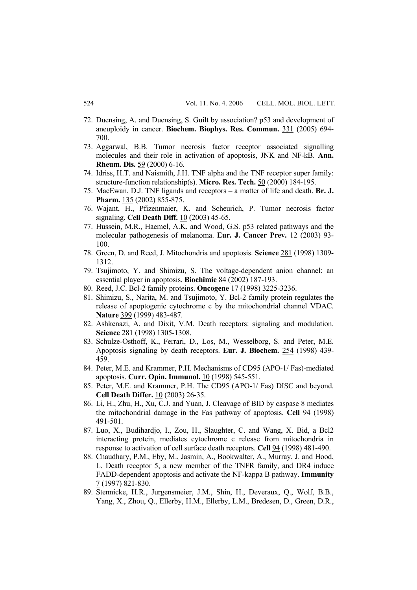- 72. Duensing, A. and Duensing, S. Guilt by association? p53 and development of aneuploidy in cancer. **Biochem. Biophys. Res. Commun.** 331 (2005) 694- 700.
- 73. Aggarwal, B.B. Tumor necrosis factor receptor associated signalling molecules and their role in activation of apoptosis, JNK and NF-kB. **Ann. Rheum. Dis.** 59 (2000) 6-16.
- 74. Idriss, H.T. and Naismith, J.H. TNF alpha and the TNF receptor super family: structure-function relationship(s). **Micro. Res. Tech.** 50 (2000) 184-195.
- 75. MacEwan, D.J. TNF ligands and receptors a matter of life and death. **Br. J.**  Pharm. 135 (2002) 855-875.
- 76. Wajant, H., Pfizenmaier, K. and Scheurich, P. Tumor necrosis factor signaling. **Cell Death Diff.** 10 (2003) 45-65.
- 77. Hussein, M.R., Haemel, A.K. and Wood, G.S. p53 related pathways and the molecular pathogenesis of melanoma. **Eur. J. Cancer Prev.** 12 (2003) 93- 100.
- 78. Green, D. and Reed, J. Mitochondria and apoptosis. **Science** 281 (1998) 1309- 1312.
- 79. Tsujimoto, Y. and Shimizu, S. The voltage-dependent anion channel: an essential player in apoptosis. **Biochimie** 84 (2002) 187-193.
- 80. Reed, J.C. Bcl-2 family proteins. **Oncogene** 17 (1998) 3225-3236.
- 81. Shimizu, S., Narita, M. and Tsujimoto, Y. Bcl-2 family protein regulates the release of apoptogenic cytochrome c by the mitochondrial channel VDAC. **Nature** 399 (1999) 483-487.
- 82. Ashkenazi, A. and Dixit, V.M. Death receptors: signaling and modulation. **Science** 281 (1998) 1305-1308.
- 83. Schulze-Osthoff, K., Ferrari, D., Los, M., Wesselborg, S. and Peter, M.E. Apoptosis signaling by death receptors. **Eur. J. Biochem.** 254 (1998) 439- 459.
- 84. Peter, M.E. and Krammer, P.H. Mechanisms of CD95 (APO-1/ Fas)-mediated apoptosis. **Curr. Opin. Immunol.** 10 (1998) 545-551.
- 85. Peter, M.E. and Krammer, P.H. The CD95 (APO-1/ Fas) DISC and beyond. **Cell Death Differ.** 10 (2003) 26-35.
- 86. Li, H., Zhu, H., Xu, C.J. and Yuan, J. Cleavage of BID by caspase 8 mediates the mitochondrial damage in the Fas pathway of apoptosis. **Cell** 94 (1998) 491-501.
- 87. Luo, X., Budihardjo, I., Zou, H., Slaughter, C. and Wang, X. Bid, a Bcl2 interacting protein, mediates cytochrome c release from mitochondria in response to activation of cell surface death receptors. **Cell** 94 (1998) 481-490.
- 88. Chaudhary, P.M., Eby, M., Jasmin, A., Bookwalter, A., Murray, J. and Hood, L. Death receptor 5, a new member of the TNFR family, and DR4 induce FADD-dependent apoptosis and activate the NF-kappa B pathway. **Immunity** 7 (1997) 821-830.
- 89. Stennicke, H.R., Jurgensmeier, J.M., Shin, H., Deveraux, Q., Wolf, B.B., Yang, X., Zhou, Q., Ellerby, H.M., Ellerby, L.M., Bredesen, D., Green, D.R.,